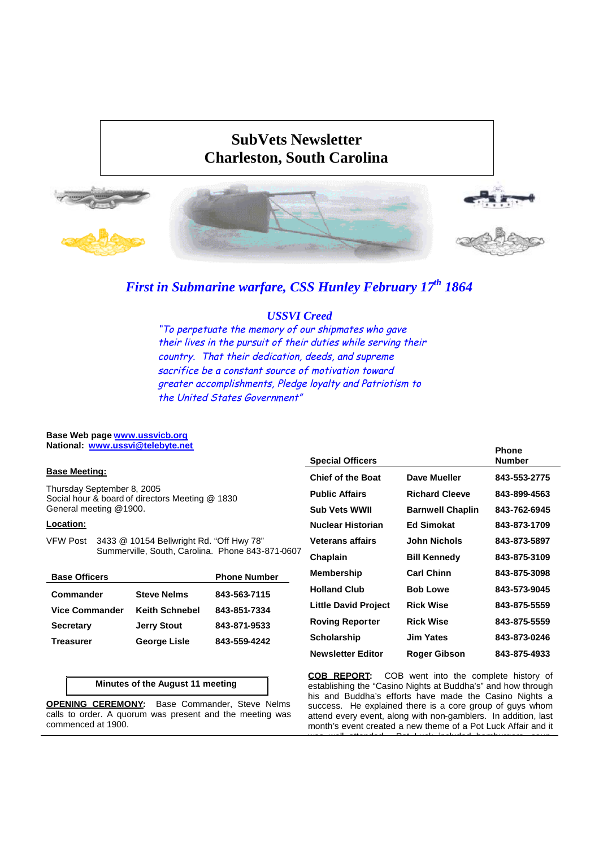# **SubVets Newsletter Charleston, South Carolina**



# *First in Submarine warfare, CSS Hunley February 17th 1864*

# *USSVI Creed*

"To perpetuate the memory of our shipmates who gave their lives in the pursuit of their duties while serving their country. That their dedication, deeds, and supreme sacrifice be <sup>a</sup> constant source of motivation toward greater accomplishments, Pledge loyalty and Patriotism to the United States Government"

#### **Base Web page www.ussvicb.org National: www.ussvi@telebyte.net**

### **Base Meeting:**

Thursday September 8, 2005 Social hour & board of directors Meeting @ 1830 General meeting @1900.

## **Location:**

VFW Post 3433 @ 10154 Bellwright Rd. "Off Hwy 78" Summerville, South, Carolina. Phone 843-871-0607

| <b>Base Officers</b>  |                       | <b>Phone Number</b> |
|-----------------------|-----------------------|---------------------|
| Commander             | <b>Steve Nelms</b>    | 843-563-7115        |
| <b>Vice Commander</b> | <b>Keith Schnebel</b> | 843-851-7334        |
| <b>Secretary</b>      | <b>Jerry Stout</b>    | 843-871-9533        |
| Treasurer             | <b>George Lisle</b>   | 843-559-4242        |

## **Minutes of the August 11 meeting**

**OPENING CEREMONY:** Base Commander, Steve Nelms calls to order. A quorum was present and the meeting was commenced at 1900.

| <b>Special Officers</b>     |                         | <b>Phone</b><br><b>Number</b> |
|-----------------------------|-------------------------|-------------------------------|
| <b>Chief of the Boat</b>    | Dave Mueller            | 843-553-2775                  |
| <b>Public Affairs</b>       | <b>Richard Cleeve</b>   | 843-899-4563                  |
| <b>Sub Vets WWII</b>        | <b>Barnwell Chaplin</b> | 843-762-6945                  |
| Nuclear Historian           | <b>Ed Simokat</b>       | 843-873-1709                  |
| <b>Veterans affairs</b>     | John Nichols            | 843-873-5897                  |
| Chaplain                    | <b>Bill Kennedy</b>     | 843-875-3109                  |
| Membership                  | <b>Carl Chinn</b>       | 843-875-3098                  |
| <b>Holland Club</b>         | <b>Bob Lowe</b>         | 843-573-9045                  |
| <b>Little David Project</b> | <b>Rick Wise</b>        | 843-875-5559                  |
| <b>Roving Reporter</b>      | <b>Rick Wise</b>        | 843-875-5559                  |
| Scholarship                 | Jim Yates               | 843-873-0246                  |
| <b>Newsletter Editor</b>    | Roger Gibson            | 843-875-4933                  |

**COB REPORT:** COB went into the complete history of establishing the "Casino Nights at Buddha's" and how through his and Buddha's efforts have made the Casino Nights a success. He explained there is a core group of guys whom attend every event, along with non-gamblers. In addition, last month's event created a new theme of a Pot Luck Affair and it

was well attended. Pot Luck included has been sounded harmonic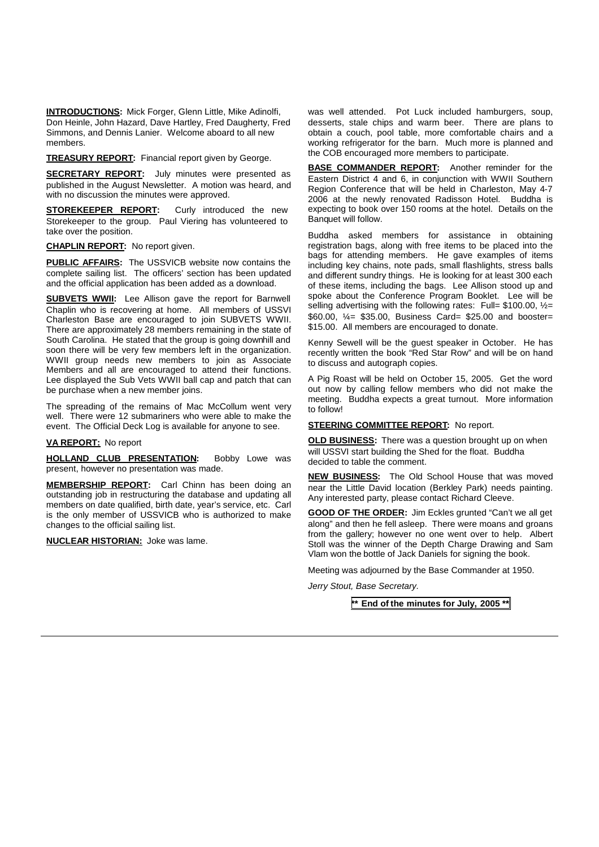**INTRODUCTIONS:** Mick Forger, Glenn Little, Mike Adinolfi, Don Heinle, John Hazard, Dave Hartley, Fred Daugherty, Fred Simmons, and Dennis Lanier. Welcome aboard to all new members.

**TREASURY REPORT:** Financial report given by George.

**SECRETARY REPORT:** July minutes were presented as published in the August Newsletter. A motion was heard, and with no discussion the minutes were approved.

**STOREKEEPER REPORT:** Curly introduced the new Storekeeper to the group. Paul Viering has volunteered to take over the position.

**CHAPLIN REPORT:** No report given.

**PUBLIC AFFAIRS:** The USSVICB website now contains the complete sailing list. The officers' section has been updated and the official application has been added as a download.

**SUBVETS WWII:** Lee Allison gave the report for Barnwell Chaplin who is recovering at home. All members of USSVI Charleston Base are encouraged to join SUBVETS WWII. There are approximately 28 members remaining in the state of South Carolina. He stated that the group is going downhill and soon there will be very few members left in the organization. WWII group needs new members to join as Associate Members and all are encouraged to attend their functions. Lee displayed the Sub Vets WWII ball cap and patch that can be purchase when a new member joins.

The spreading of the remains of Mac McCollum went very well. There were 12 submariners who were able to make the event. The Official Deck Log is available for anyone to see.

#### **VA REPORT:** No report

**HOLLAND CLUB PRESENTATION:** Bobby Lowe was present, however no presentation was made.

**MEMBERSHIP REPORT:** Carl Chinn has been doing an outstanding job in restructuring the database and updating all members on date qualified, birth date, year's service, etc. Carl is the only member of USSVICB who is authorized to make changes to the official sailing list.

**NUCLEAR HISTORIAN:** Joke was lame.

was well attended. Pot Luck included hamburgers, soup, desserts, stale chips and warm beer. There are plans to obtain a couch, pool table, more comfortable chairs and a working refrigerator for the barn. Much more is planned and the COB encouraged more members to participate.

**BASE COMMANDER REPORT:** Another reminder for the Eastern District 4 and 6, in conjunction with WWII Southern Region Conference that will be held in Charleston, May 4-7 2006 at the newly renovated Radisson Hotel. Buddha is expecting to book over 150 rooms at the hotel. Details on the Banquet will follow.

Buddha asked members for assistance in obtaining registration bags, along with free items to be placed into the bags for attending members. He gave examples of items including key chains, note pads, small flashlights, stress balls and different sundry things. He is looking for at least 300 each of these items, including the bags. Lee Allison stood up and spoke about the Conference Program Booklet. Lee will be selling advertising with the following rates: Full=  $$100.00,$   $\frac{1}{2}$ =  $$60.00, \frac{1}{4}$  \$35.00, Business Card= \$25.00 and booster= \$15.00. All members are encouraged to donate.

Kenny Sewell will be the guest speaker in October. He has recently written the book "Red Star Row" and will be on hand to discuss and autograph copies.

A Pig Roast will be held on October 15, 2005. Get the word out now by calling fellow members who did not make the meeting. Buddha expects a great turnout. More information to follow!

**STEERING COMMITTEE REPORT:** No report.

**OLD BUSINESS:** There was a question brought up on when will USSVI start building the Shed for the float. Buddha decided to table the comment.

**NEW BUSINESS:** The Old School House that was moved near the Little David location (Berkley Park) needs painting. Any interested party, please contact Richard Cleeve.

**GOOD OF THE ORDER:** Jim Eckles grunted "Can't we all get along" and then he fell asleep. There were moans and groans from the gallery; however no one went over to help. Albert Stoll was the winner of the Depth Charge Drawing and Sam Vlam won the bottle of Jack Daniels for signing the book.

Meeting was adjourned by the Base Commander at 1950.

*Jerry Stout, Base Secretary.*

**\*\* End of the minutes for July, 2005 \*\***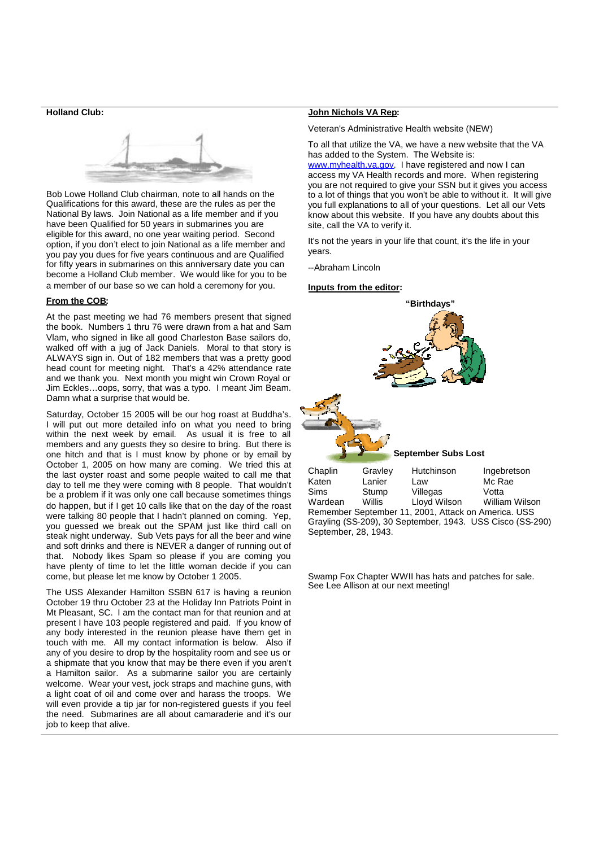#### **Holland Club:**



Bob Lowe Holland Club chairman, note to all hands on the Qualifications for this award, these are the rules as per the National By laws. Join National as a life member and if you have been Qualified for 50 years in submarines you are eligible for this award, no one year waiting period. Second option, if you don't elect to join National as a life member and you pay you dues for five years continuous and are Qualified for fifty years in submarines on this anniversary date you can become a Holland Club member. We would like for you to be a member of our base so we can hold a ceremony for you.

#### **From the COB:**

At the past meeting we had 76 members present that signed the book. Numbers 1 thru 76 were drawn from a hat and Sam Vlam, who signed in like all good Charleston Base sailors do, walked off with a jug of Jack Daniels. Moral to that story is ALWAYS sign in. Out of 182 members that was a pretty good head count for meeting night. That's a 42% attendance rate and we thank you. Next month you might win Crown Royal or Jim Eckles…oops, sorry, that was a typo. I meant Jim Beam. Damn what a surprise that would be.

Saturday, October 15 2005 will be our hog roast at Buddha's. I will put out more detailed info on what you need to bring within the next week by email. As usual it is free to all members and any guests they so desire to bring. But there is one hitch and that is I must know by phone or by email by October 1, 2005 on how many are coming. We tried this at Chaplin the last oyster roast and some people waited to call me that day to tell me they were coming with 8 people. That wouldn't be a problem if it was only one call because sometimes things do happen, but if I get 10 calls like that on the day of the roast were talking 80 people that I hadn't planned on coming. Yep, you guessed we break out the SPAM just like third call on steak night underway. Sub Vets pays for all the beer and wine and soft drinks and there is NEVER a danger of running out of that. Nobody likes Spam so please if you are coming you have plenty of time to let the little woman decide if you can come, but please let me know by October 1 2005.

The USS Alexander Hamilton SSBN 617 is having a reunion October 19 thru October 23 at the Holiday Inn Patriots Point in Mt Pleasant, SC. I am the contact man for that reunion and at present I have 103 people registered and paid. If you know of any body interested in the reunion please have them get in touch with me. All my contact information is below. Also if any of you desire to drop by the hospitality room and see us or a shipmate that you know that may be there even if you aren't a Hamilton sailor. As a submarine sailor you are certainly welcome. Wear your vest, jock straps and machine guns, with a light coat of oil and come over and harass the troops. We will even provide a tip jar for non-registered guests if you feel the need. Submarines are all about camaraderie and it's our job to keep that alive.

#### **John Nichols VA Rep:**

Veteran's Administrative Health website (NEW)

To all that utilize the VA, we have a new website that the VA has added to the System. The Website is: www.myhealth.va.gov. I have registered and now I can

access my VA Health records and more. When registering you are not required to give your SSN but it gives you access to a lot of things that you won't be able to without it. It will give you full explanations to all of your questions. Let all our Vets know about this website. If you have any doubts about this site, call the VA to verify it.

It's not the years in your life that count, it's the life in your years.

--Abraham Lincoln

#### **Inputs from the editor:**



Remember September 11, 2001, Attack on America. USS Grayling (SS-209), 30 September, 1943. USS Cisco (SS-290) September, 28, 1943. Wardean Willis Lloyd Wilson William Wilson

Swamp Fox Chapter WWII has hats and patches for sale. See Lee Allison at our next meeting!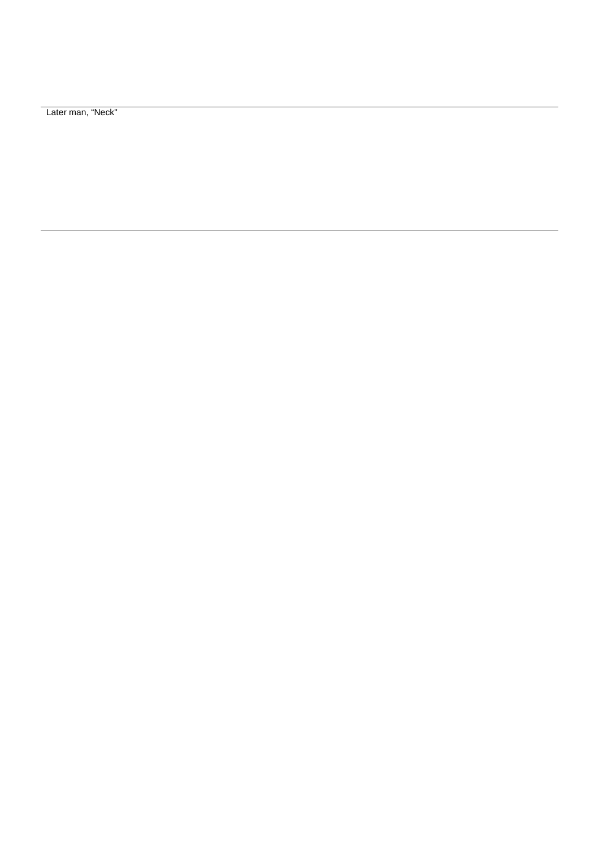Later man, "Neck"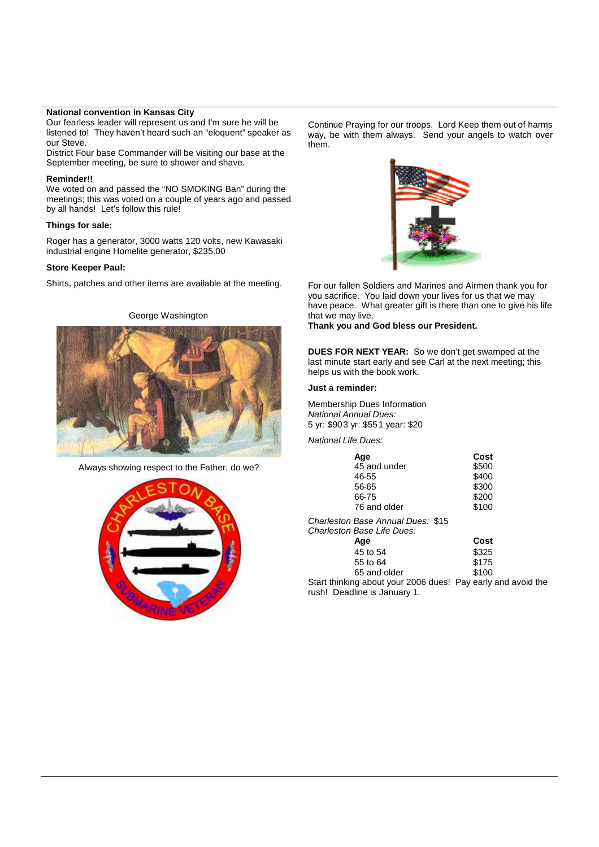### **National convention in Kansas City**

Our fearless leader will represent us and I'm sure he will be listened to! They haven't heard such an "eloquent" speaker as our Steve.

District Four base Commander will be visiting our base at the September meeting, be sure to shower and shave.

#### **Reminder!!**

We voted on and passed the "NO SMOKING Ban" during the meetings; this was voted on a couple of years ago and passed by all hands! Let's follow this rule!

#### **Things for sale:**

Roger has a generator, 3000 watts 120 volts, new Kawasaki industrial engine Homelite generator, \$235.00

#### **Store Keeper Paul:**

Shirts, patches and other items are available at the meeting.

George Washington



Always showing respect to the Father, do we?



Continue Praying for our troops. Lord Keep them out of harms way, be with them always. Send your angels to watch over them.



For our fallen Soldiers and Marines and Airmen thank you for you sacrifice. You laid down your lives for us that we may have peace. What greater gift is there than one to give his life that we may live.

**Thank you and God bless our President.**

**DUES FOR NEXT YEAR:** So we don't get swamped at the last minute start early and see Carl at the next meeting; this helps us with the book work.

#### **Just a reminder:**

Membership Dues Information *National Annual Dues:* 5 yr: \$903 yr: \$551 year: \$20

*National Life Dues:*

| Age          | Cost  |
|--------------|-------|
| 45 and under | \$500 |
| 46-55        | \$400 |
| 56-65        | \$300 |
| 66-75        | \$200 |
| 76 and older | \$100 |
|              |       |

*Charleston Base Annual Dues:* \$15 *Charleston Base Life Dues:*

| Aqe                                   | Cost  |
|---------------------------------------|-------|
| 45 to 54                              | \$325 |
| 55 to 64                              | \$175 |
| 65 and older                          | \$100 |
| a about vour 2006 dugel. Day oarly ar |       |

Start thinking about your 2006 dues! Pay early and avoid the rush! Deadline is January 1.